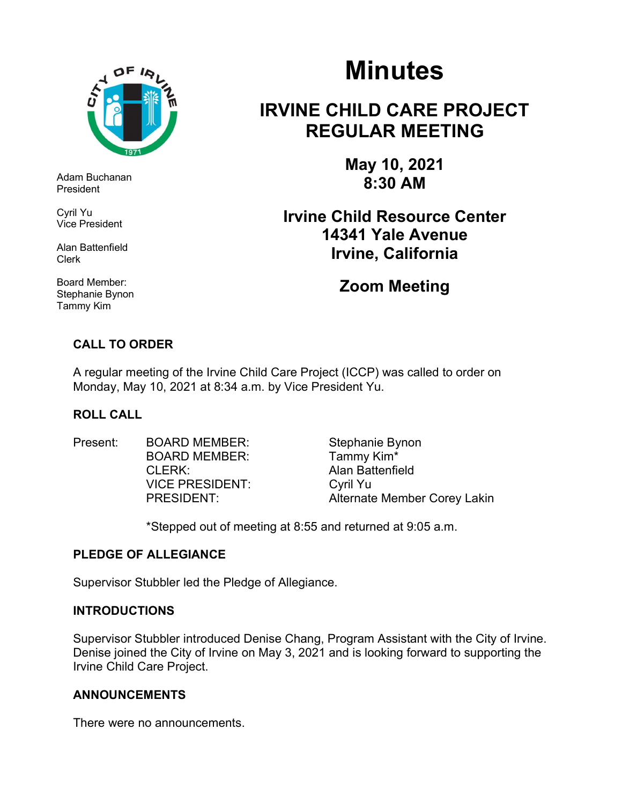

Adam Buchanan President

Cyril Yu Vice President

Alan Battenfield Clerk

Board Member: Stephanie Bynon Tammy Kim

# Minutes

## IRVINE CHILD CARE PROJECT REGULAR MEETING

May 10, 2021 8:30 AM

## Irvine Child Resource Center 14341 Yale Avenue Irvine, California

## Zoom Meeting

## CALL TO ORDER

A regular meeting of the Irvine Child Care Project (ICCP) was called to order on Monday, May 10, 2021 at 8:34 a.m. by Vice President Yu.

## ROLL CALL

Present: BOARD MEMBER: Stephanie Bynon BOARD MEMBER: Tammy Kim\* CLERK: Alan Battenfield VICE PRESIDENT: Cyril Yu

PRESIDENT: Alternate Member Corey Lakin

\*Stepped out of meeting at 8:55 and returned at 9:05 a.m.

## PLEDGE OF ALLEGIANCE

Supervisor Stubbler led the Pledge of Allegiance.

## INTRODUCTIONS

Supervisor Stubbler introduced Denise Chang, Program Assistant with the City of Irvine. Denise joined the City of Irvine on May 3, 2021 and is looking forward to supporting the Irvine Child Care Project.

## ANNOUNCEMENTS

There were no announcements.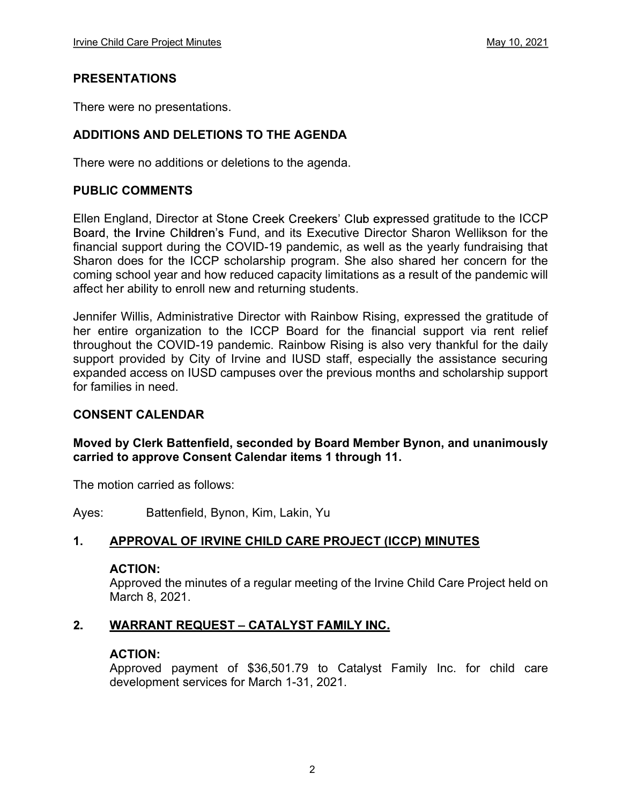#### PRESENTATIONS

There were no presentations.

#### ADDITIONS AND DELETIONS TO THE AGENDA

There were no additions or deletions to the agenda.

#### PUBLIC COMMENTS

Ellen England, Director at Stone Creek Creekers' Club expressed gratitude to the ICCP Board, the Irvine Children's Fund, and its Executive Director Sharon Wellikson for the financial support during the COVID-19 pandemic, as well as the yearly fundraising that Sharon does for the ICCP scholarship program. She also shared her concern for the coming school year and how reduced capacity limitations as a result of the pandemic will affect her ability to enroll new and returning students.

Jennifer Willis, Administrative Director with Rainbow Rising, expressed the gratitude of her entire organization to the ICCP Board for the financial support via rent relief throughout the COVID-19 pandemic. Rainbow Rising is also very thankful for the daily support provided by City of Irvine and IUSD staff, especially the assistance securing expanded access on IUSD campuses over the previous months and scholarship support for families in need.

#### CONSENT CALENDAR

#### Moved by Clerk Battenfield, seconded by Board Member Bynon, and unanimously carried to approve Consent Calendar items 1 through 11.

The motion carried as follows:

Ayes: Battenfield, Bynon, Kim, Lakin, Yu

## 1. APPROVAL OF IRVINE CHILD CARE PROJECT (ICCP) MINUTES

#### ACTION:

Approved the minutes of a regular meeting of the Irvine Child Care Project held on March 8, 2021.

#### $2.$ **WARRANT REQUEST - CATALYST FAMILY INC.**

#### ACTION:

Approved payment of \$36,501.79 to Catalyst Family Inc. for child care development services for March 1-31, 2021.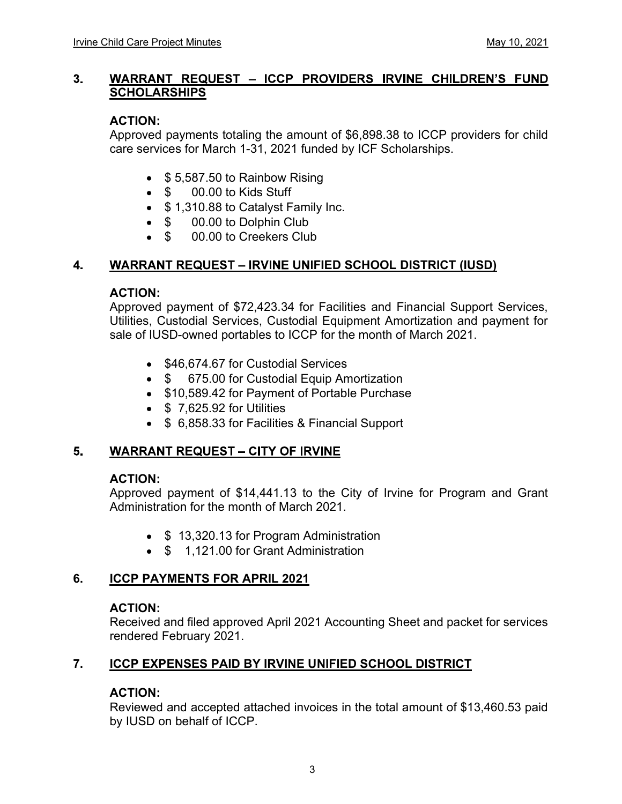#### $3<sub>1</sub>$ WARRANT REQUEST - ICCP PROVIDERS IRVINE CHILDREN'S FUND **SCHOLARSHIPS**

#### ACTION:

Approved payments totaling the amount of \$6,898.38 to ICCP providers for child care services for March 1-31, 2021 funded by ICF Scholarships.

- \$5,587.50 to Rainbow Rising
- \$ 00.00 to Kids Stuff
- \$1,310.88 to Catalyst Family Inc.
- $\bullet$  \$ 00.00 to Dolphin Club
- \$ 00.00 to Creekers Club

#### WARRANT REQUEST - IRVINE UNIFIED SCHOOL DISTRICT (IUSD)  $\mathbf 4$

#### ACTION:

Approved payment of \$72,423.34 for Facilities and Financial Support Services, Utilities, Custodial Services, Custodial Equipment Amortization and payment for sale of IUSD-owned portables to ICCP for the month of March 2021.

- \$46,674.67 for Custodial Services
- \$ 675.00 for Custodial Equip Amortization
- \$10,589.42 for Payment of Portable Purchase
- $\bullet$  \$ 7,625.92 for Utilities
- **S** 6,858.33 for Facilities & Financial Support

#### 5. **WARRANT REQUEST - CITY OF IRVINE**

#### ACTION:

Approved payment of \$14,441.13 to the City of Irvine for Program and Grant Administration for the month of March 2021.

- \$13,320.13 for Program Administration
- \$ 1,121.00 for Grant Administration

#### 6. ICCP PAYMENTS FOR APRIL 2021

#### ACTION:

Received and filed approved April 2021 Accounting Sheet and packet for services rendered February 2021.

## 7. ICCP EXPENSES PAID BY IRVINE UNIFIED SCHOOL DISTRICT

#### ACTION:

Reviewed and accepted attached invoices in the total amount of \$13,460.53 paid by IUSD on behalf of ICCP.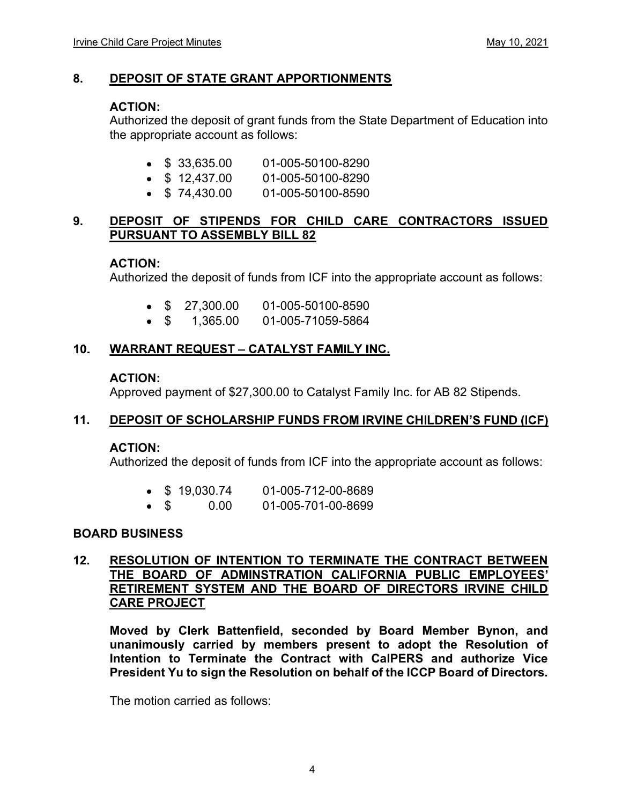#### 8. DEPOSIT OF STATE GRANT APPORTIONMENTS

#### ACTION:

Authorized the deposit of grant funds from the State Department of Education into the appropriate account as follows:

- $\bullet$  \$ 33,635.00 01-005-50100-8290
- \$ 12,437.00 01-005-50100-8290
- $\bullet$  \$ 74.430.00 01-005-50100-8590

#### 9. DEPOSIT OF STIPENDS FOR CHILD CARE CONTRACTORS ISSUED PURSUANT TO ASSEMBLY BILL 82

#### ACTION:

Authorized the deposit of funds from ICF into the appropriate account as follows:

- $\bullet$  \$ 27,300.00 01-005-50100-8590
- \$ 1,365.00 01-005-71059-5864

#### $10<sub>1</sub>$ **WARRANT REQUEST - CATALYST FAMILY INC.**

#### ACTION:

Approved payment of \$27,300.00 to Catalyst Family Inc. for AB 82 Stipends.

#### 11. DEPOSIT OF SCHOLARSHIP FUNDS FROM IRVINE CHILDREN'S FUND (ICF)

#### ACTION:

Authorized the deposit of funds from ICF into the appropriate account as follows:

\$ 0.00 01-005-701-00-8699

#### BOARD BUSINESS

#### 12. RESOLUTION OF INTENTION TO TERMINATE THE CONTRACT BETWEEN THE BOARD OF ADMINSTRATION CALIFORNIA PUBLIC EMPLOYEES' RETIREMENT SYSTEM AND THE BOARD OF DIRECTORS IRVINE CHILD CARE PROJECT

Moved by Clerk Battenfield, seconded by Board Member Bynon, and unanimously carried by members present to adopt the Resolution of Intention to Terminate the Contract with CalPERS and authorize Vice President Yu to sign the Resolution on behalf of the ICCP Board of Directors.

The motion carried as follows: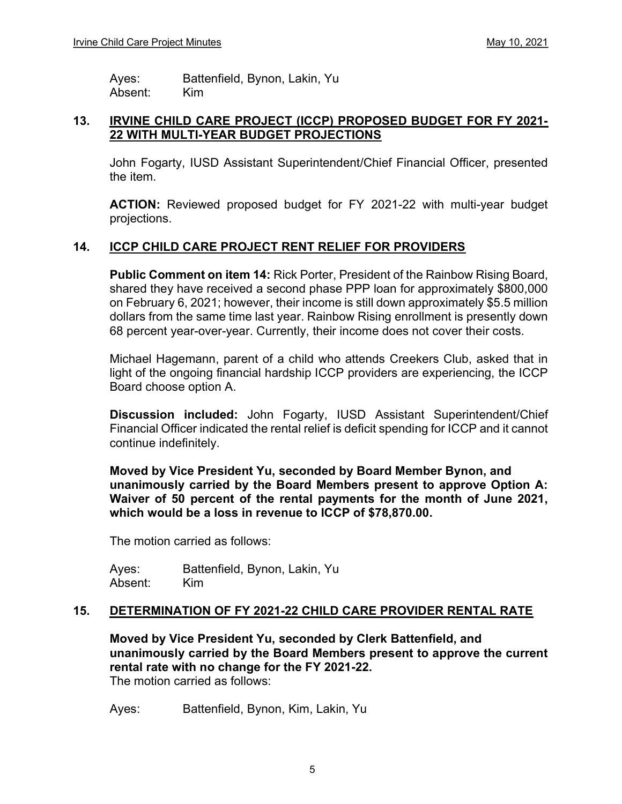Ayes: Battenfield, Bynon, Lakin, Yu Absent: Kim

#### 13. IRVINE CHILD CARE PROJECT (ICCP) PROPOSED BUDGET FOR FY 2021-22 WITH MULTI-YEAR BUDGET PROJECTIONS

John Fogarty, IUSD Assistant Superintendent/Chief Financial Officer, presented the item.

ACTION: Reviewed proposed budget for FY 2021-22 with multi-year budget projections.

#### 14. ICCP CHILD CARE PROJECT RENT RELIEF FOR PROVIDERS

Public Comment on item 14: Rick Porter, President of the Rainbow Rising Board, shared they have received a second phase PPP loan for approximately \$800,000 on February 6, 2021; however, their income is still down approximately \$5.5 million dollars from the same time last year. Rainbow Rising enrollment is presently down 68 percent year-over-year. Currently, their income does not cover their costs.

Michael Hagemann, parent of a child who attends Creekers Club, asked that in light of the ongoing financial hardship ICCP providers are experiencing, the ICCP Board choose option A.

Discussion included: John Fogarty, IUSD Assistant Superintendent/Chief Financial Officer indicated the rental relief is deficit spending for ICCP and it cannot continue indefinitely.

Moved by Vice President Yu, seconded by Board Member Bynon, and unanimously carried by the Board Members present to approve Option A: Waiver of 50 percent of the rental payments for the month of June 2021, which would be a loss in revenue to ICCP of \$78,870.00.

The motion carried as follows:

Ayes: Battenfield, Bynon, Lakin, Yu Absent: Kim

#### 15. DETERMINATION OF FY 2021-22 CHILD CARE PROVIDER RENTAL RATE

Moved by Vice President Yu, seconded by Clerk Battenfield, and unanimously carried by the Board Members present to approve the current rental rate with no change for the FY 2021-22. The motion carried as follows:

Ayes: Battenfield, Bynon, Kim, Lakin, Yu